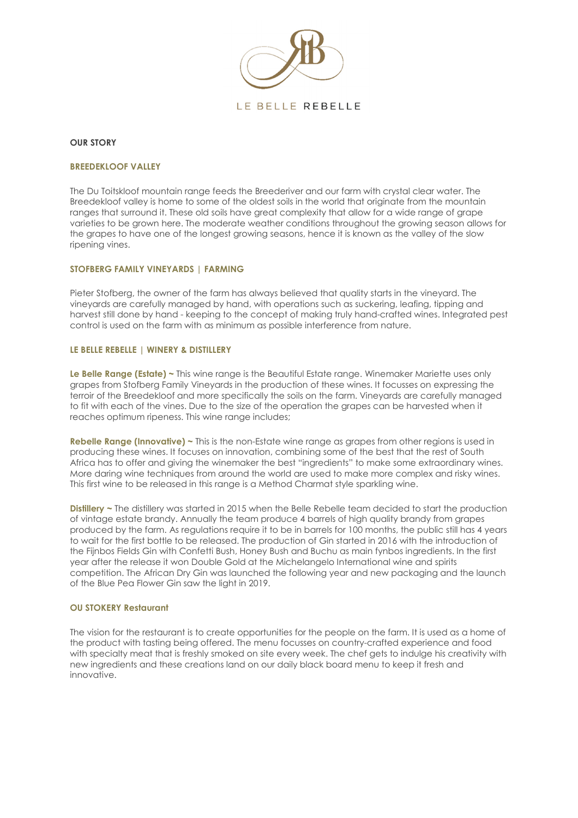

#### **OUR STORY**

#### **BREEDEKLOOF VALLEY**

The Du Toitskloof mountain range feeds the Breederiver and our farm with crystal clear water. The Breedekloof valley is home to some of the oldest soils in the world that originate from the mountain ranges that surround it. These old soils have great complexity that allow for a wide range of grape varieties to be grown here. The moderate weather conditions throughout the growing season allows for the grapes to have one of the longest growing seasons, hence it is known as the valley of the slow ripening vines.

#### **STOFBERG FAMILY VINEYARDS | FARMING**

Pieter Stofberg, the owner of the farm has always believed that quality starts in the vineyard. The vineyards are carefully managed by hand, with operations such as suckering, leafing, tipping and harvest still done by hand - keeping to the concept of making truly hand-crafted wines. Integrated pest control is used on the farm with as minimum as possible interference from nature.

#### **LE BELLE REBELLE | WINERY & DISTILLERY**

**Le Belle Range (Estate) ~** This wine range is the Beautiful Estate range. Winemaker Mariette uses only grapes from Stofberg Family Vineyards in the production of these wines. It focusses on expressing the terroir of the Breedekloof and more specifically the soils on the farm. Vineyards are carefully managed to fit with each of the vines. Due to the size of the operation the grapes can be harvested when it reaches optimum ripeness. This wine range includes;

**Rebelle Range (Innovative) ~** This is the non-Estate wine range as grapes from other regions is used in producing these wines. It focuses on innovation, combining some of the best that the rest of South Africa has to offer and giving the winemaker the best "ingredients" to make some extraordinary wines. More daring wine techniques from around the world are used to make more complex and risky wines. This first wine to be released in this range is a Method Charmat style sparkling wine.

**Distillery ~** The distillery was started in 2015 when the Belle Rebelle team decided to start the production of vintage estate brandy. Annually the team produce 4 barrels of high quality brandy from grapes produced by the farm. As regulations require it to be in barrels for 100 months, the public still has 4 years to wait for the first bottle to be released. The production of Gin started in 2016 with the introduction of the Fijnbos Fields Gin with Confetti Bush, Honey Bush and Buchu as main fynbos ingredients. In the first year after the release it won Double Gold at the Michelangelo International wine and spirits competition. The African Dry Gin was launched the following year and new packaging and the launch of the Blue Pea Flower Gin saw the light in 2019.

#### **OU STOKERY Restaurant**

The vision for the restaurant is to create opportunities for the people on the farm. It is used as a home of the product with tasting being offered. The menu focusses on country-crafted experience and food with specialty meat that is freshly smoked on site every week. The chef gets to indulge his creativity with new ingredients and these creations land on our daily black board menu to keep it fresh and innovative.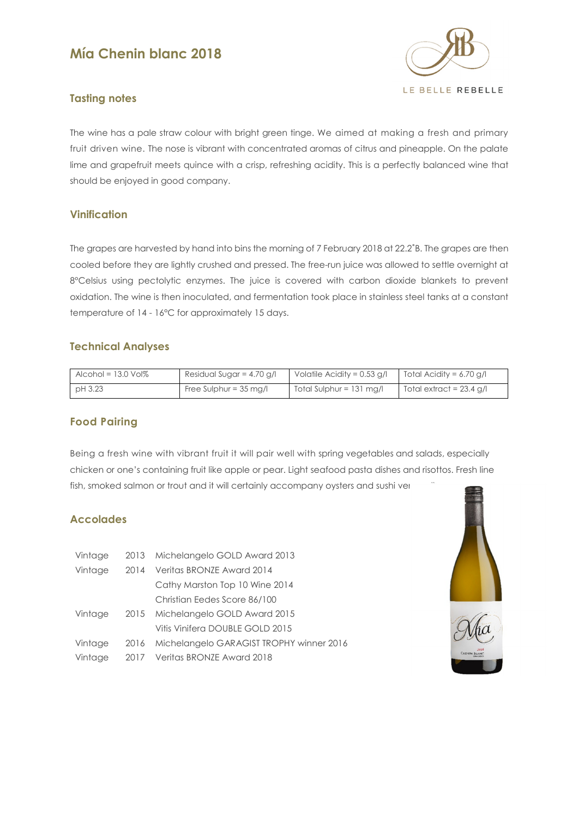# **Mía Chenin blanc 2018**



# **Tasting notes**

The wine has a pale straw colour with bright green tinge. We aimed at making a fresh and primary fruit driven wine. The nose is vibrant with concentrated aromas of citrus and pineapple. On the palate lime and grapefruit meets quince with a crisp, refreshing acidity. This is a perfectly balanced wine that should be enjoyed in good company.

# **Vinification**

The grapes are harvested by hand into bins the morning of 7 February 2018 at 22.2˚B. The grapes are then cooled before they are lightly crushed and pressed. The free-run juice was allowed to settle overnight at 8°Celsius using pectolytic enzymes. The juice is covered with carbon dioxide blankets to prevent oxidation. The wine is then inoculated, and fermentation took place in stainless steel tanks at a constant temperature of 14 - 16°C for approximately 15 days.

# **Technical Analyses**

| Alcohol = $13.0$ Vol $%$ | Residual Sugar = $4.70$ g/l      | Volatile Acidity = $0.53$ g/l                     | Total Acidity = 6.70 g/l |
|--------------------------|----------------------------------|---------------------------------------------------|--------------------------|
| pH 3.23                  | Free Sulphur = $35 \text{ mg/l}$ | $\overline{\phantom{0}}$ Total Sulphur = 131 mg/l | Total extract = 23.4 g/l |

# **Food Pairing**

Being a fresh wine with vibrant fruit it will pair well with spring vegetables and salads, especially chicken or one's containing fruit like apple or pear. Light seafood pasta dishes and risottos. Fresh line fish, smoked salmon or trout and it will certainly accompany oysters and sushi ver

# **Accolades**

| Vintage |      | 2013 Michelangelo GOLD Award 2013             |
|---------|------|-----------------------------------------------|
| Vintage |      | 2014 Veritas BRONZE Award 2014                |
|         |      | Cathy Marston Top 10 Wine 2014                |
|         |      | Christian Eedes Score 86/100                  |
| Vintage |      | 2015 Michelangelo GOLD Award 2015             |
|         |      | Vitis Vinifera DOUBLE GOLD 2015               |
| Vintage |      | 2016 Michelangelo GARAGIST TROPHY winner 2016 |
| Vintage | 2017 | Veritas BRONZE Award 2018                     |



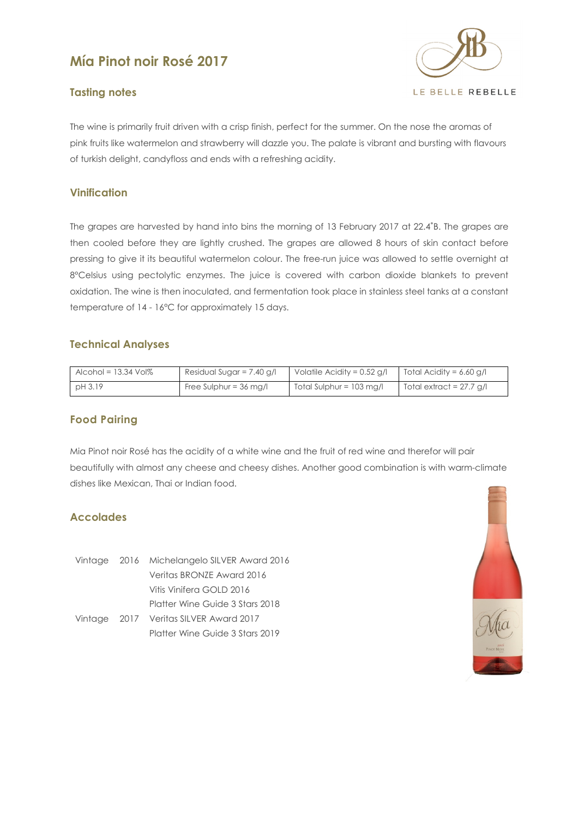# **Mía Pinot noir Rosé 2017**

# **Tasting notes**



The wine is primarily fruit driven with a crisp finish, perfect for the summer. On the nose the aromas of pink fruits like watermelon and strawberry will dazzle you. The palate is vibrant and bursting with flavours of turkish delight, candyfloss and ends with a refreshing acidity.

# **Vinification**

The grapes are harvested by hand into bins the morning of 13 February 2017 at 22.4˚B. The grapes are then cooled before they are lightly crushed. The grapes are allowed 8 hours of skin contact before pressing to give it its beautiful watermelon colour. The free-run juice was allowed to settle overnight at 8°Celsius using pectolytic enzymes. The juice is covered with carbon dioxide blankets to prevent oxidation. The wine is then inoculated, and fermentation took place in stainless steel tanks at a constant temperature of 14 - 16°C for approximately 15 days.

# **Technical Analyses**

| Alcohol = $13.34$ Vol $%$ | Residual Sugar = 7.40 g/l        | Volatile Acidity = $0.52$ g/l | Total Acidity = 6.60 g/l |
|---------------------------|----------------------------------|-------------------------------|--------------------------|
| pH 3.19                   | Free Sulphur = $36 \text{ mg/l}$ | $Total Sulphur = 103 mg/l$    | Total extract = 27.7 g/l |

# **Food Pairing**

Mia Pinot noir Rosé has the acidity of a white wine and the fruit of red wine and therefor will pair beautifully with almost any cheese and cheesy dishes. Another good combination is with warm-climate dishes like Mexican, Thai or Indian food.

# **Accolades**

Vintage 2016 Michelangelo SILVER Award 2016 Veritas BRONZE Award 2016 Vitis Vinifera GOLD 2016 Platter Wine Guide 3 Stars 2018 Vintage 2017 Veritas SILVER Award 2017 Platter Wine Guide 3 Stars 2019

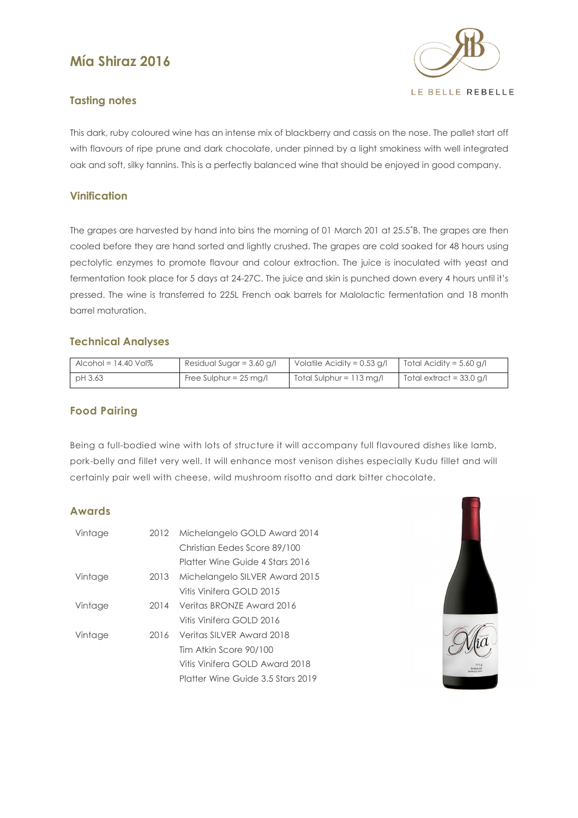# **Mía Shiraz 2016**



# **Tasting notes**

This dark, ruby coloured wine has an intense mix of blackberry and cassis on the nose. The pallet start off with flavours of ripe prune and dark chocolate, under pinned by a light smokiness with well integrated oak and soft, silky tannins. This is a perfectly balanced wine that should be enjoyed in good company.

# **Vinification**

The grapes are harvested by hand into bins the morning of 01 March 201 at 25.5˚B. The grapes are then cooled before they are hand sorted and lightly crushed. The grapes are cold soaked for 48 hours using pectolytic enzymes to promote flavour and colour extraction. The juice is inoculated with yeast and fermentation took place for 5 days at 24-27C. The juice and skin is punched down every 4 hours until it's pressed. The wine is transferred to 225L French oak barrels for Malolactic fermentation and 18 month barrel maturation.

# **Technical Analyses**

| Alcohol = $14.40$ Vol $%$ | Residual Sugar = 3.60 g/l        | Volatile Acidity = $0.53$ g/l | Total Acidity = $5.60$ g/l |
|---------------------------|----------------------------------|-------------------------------|----------------------------|
| pH 3.63                   | Free Sulphur = $25 \text{ mg/l}$ | $Total Sulphur = 113 mg/l$    | Total extract = $33.0$ g/l |

# **Food Pairing**

Being a full-bodied wine with lots of structure it will accompany full flavoured dishes like lamb, pork-belly and fillet very well. It will enhance most venison dishes especially Kudu fillet and will certainly pair well with cheese, wild mushroom risotto and dark bitter chocolate.

# **Awards**

| Vintage | 2012 | Michelangelo GOLD Award 2014        |
|---------|------|-------------------------------------|
|         |      | Christian Eedes Score 89/100        |
|         |      | Platter Wine Guide 4 Stars 2016     |
| Vintage |      | 2013 Michelangelo SILVER Award 2015 |
|         |      | Vitis Vinifera GOLD 2015            |
| Vintage |      | 2014 Veritas BRONZE Award 2016      |
|         |      | Vitis Vinifera GOLD 2016            |
| Vintage |      | 2016 Veritas SILVER Award 2018      |
|         |      | Tim Atkin Score 90/100              |
|         |      | Vitis Vinifera GOLD Award 2018      |
|         |      | Platter Wine Guide 3.5 Stars 2019   |

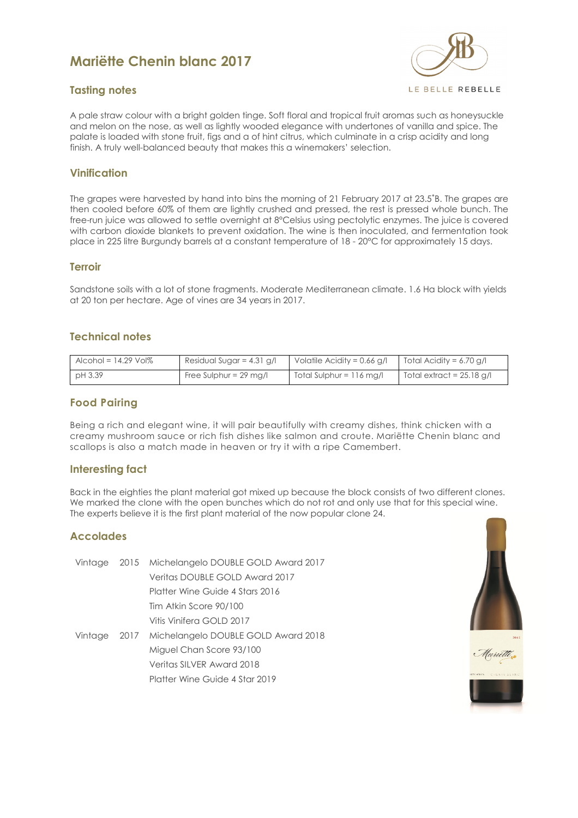# **Mariëtte Chenin blanc 2017**



# **Tasting notes**

A pale straw colour with a bright golden tinge. Soft floral and tropical fruit aromas such as honeysuckle and melon on the nose, as well as lightly wooded elegance with undertones of vanilla and spice. The palate is loaded with stone fruit, figs and a of hint citrus, which culminate in a crisp acidity and long finish. A truly well-balanced beauty that makes this a winemakers' selection.

#### **Vinification**

The grapes were harvested by hand into bins the morning of 21 February 2017 at 23.5˚B. The grapes are then cooled before 60% of them are lightly crushed and pressed, the rest is pressed whole bunch. The free-run juice was allowed to settle overnight at 8°Celsius using pectolytic enzymes. The juice is covered with carbon dioxide blankets to prevent oxidation. The wine is then inoculated, and fermentation took place in 225 litre Burgundy barrels at a constant temperature of 18 - 20°C for approximately 15 days.

#### **Terroir**

Sandstone soils with a lot of stone fragments. Moderate Mediterranean climate. 1.6 Ha block with yields at 20 ton per hectare. Age of vines are 34 years in 2017.

#### **Technical notes**

| Alcohol = $14.29$ Vol $%$ | Residual Sugar = $4.31$ g/l      | Volatile Acidity = $0.66$ g/l           | Total Acidity = 6.70 g/l    |
|---------------------------|----------------------------------|-----------------------------------------|-----------------------------|
| pH 3.39                   | Free Sulphur = $29 \text{ mg/l}$ | $\blacksquare$ Total Sulphur = 116 mg/l | Total extract = $25.18$ g/l |

# **Food Pairing**

Being a rich and elegant wine, it will pair beautifully with creamy dishes, think chicken with a creamy mushroom sauce or rich fish dishes like salmon and croute. Mariëtte Chenin blanc and scallops is also a match made in heaven or try it with a ripe Camembert.

#### **Interesting fact**

Back in the eighties the plant material got mixed up because the block consists of two different clones. We marked the clone with the open bunches which do not rot and only use that for this special wine. The experts believe it is the first plant material of the now popular clone 24.

#### **Accolades**

|  | Vintage 2015 Michelangelo DOUBLE GOLD Award 2017 |
|--|--------------------------------------------------|
|  | Veritas DOUBLE GOLD Award 2017                   |
|  | Platter Wine Guide 4 Stars 2016                  |
|  | Tim Atkin Score 90/100                           |
|  | Vitis Vinifera GOLD 2017                         |
|  | Vintage 2017 Michelangelo DOUBLE GOLD Award 2018 |
|  | Miguel Chan Score 93/100                         |
|  | Veritas SILVER Award 2018                        |
|  | Platter Wine Guide 4 Star 2019                   |

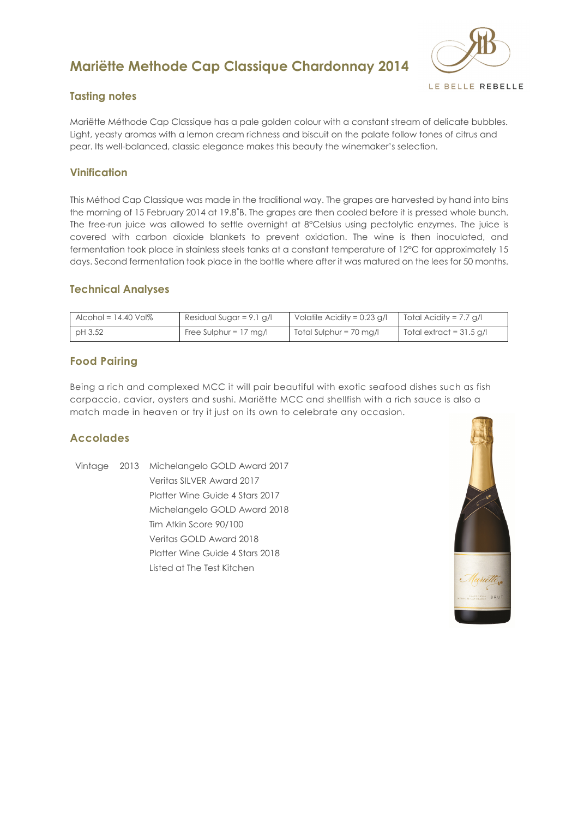# **Mariëtte Methode Cap Classique Chardonnay 2014**



# **Tasting notes**

Mariëtte Méthode Cap Classique has a pale golden colour with a constant stream of delicate bubbles. Light, yeasty aromas with a lemon cream richness and biscuit on the palate follow tones of citrus and pear. Its well-balanced, classic elegance makes this beauty the winemaker's selection.

# **Vinification**

This Méthod Cap Classique was made in the traditional way. The grapes are harvested by hand into bins the morning of 15 February 2014 at 19.8˚B. The grapes are then cooled before it is pressed whole bunch. The free-run juice was allowed to settle overnight at 8°Celsius using pectolytic enzymes. The juice is covered with carbon dioxide blankets to prevent oxidation. The wine is then inoculated, and fermentation took place in stainless steels tanks at a constant temperature of 12°C for approximately 15 days. Second fermentation took place in the bottle where after it was matured on the lees for 50 months.

# **Technical Analyses**

| $\Lambda$ lcohol = 14.40 Vol $\%$ | Residual Sugar = 9.1 g/l         | Volatile Acidity = $0.23$ g/l | Total Acidity = 7.7 g/l    |
|-----------------------------------|----------------------------------|-------------------------------|----------------------------|
| pH 3.52                           | Free Sulphur = $17 \text{ mg/l}$ | Total Sulphur = 70 mg/l       | Total extract = $31.5$ g/l |

# **Food Pairing**

Being a rich and complexed MCC it will pair beautiful with exotic seafood dishes such as fish carpaccio, caviar, oysters and sushi. Mariëtte MCC and shellfish with a rich sauce is also a match made in heaven or try it just on its own to celebrate any occasion.

# **Accolades**

Vintage 2013 Michelangelo GOLD Award 2017 Veritas SILVER Award 2017 Platter Wine Guide 4 Stars 2017 Michelangelo GOLD Award 2018 Tim Atkin Score 90/100 Veritas GOLD Award 2018 Platter Wine Guide 4 Stars 2018 Listed at The Test Kitchen

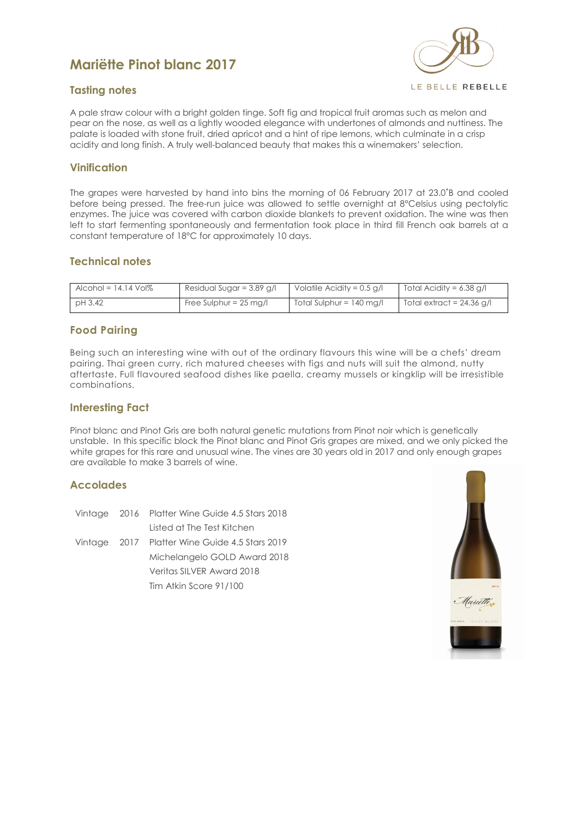# **Mariëtte Pinot blanc 2017**



#### **Tasting notes**

A pale straw colour with a bright golden tinge. Soft fig and tropical fruit aromas such as melon and pear on the nose, as well as a lightly wooded elegance with undertones of almonds and nuttiness. The palate is loaded with stone fruit, dried apricot and a hint of ripe lemons, which culminate in a crisp acidity and long finish. A truly well-balanced beauty that makes this a winemakers' selection.

#### **Vinification**

The grapes were harvested by hand into bins the morning of 06 February 2017 at 23.0˚B and cooled before being pressed. The free-run juice was allowed to settle overnight at 8°Celsius using pectolytic enzymes. The juice was covered with carbon dioxide blankets to prevent oxidation. The wine was then left to start fermenting spontaneously and fermentation took place in third fill French oak barrels at a constant temperature of 18°C for approximately 10 days.

#### **Technical notes**

| $\Delta$ cohol = 14.14 Vol $\%$ | Residual Sugar = 3.89 g/l        | Volatile Acidity = $0.5$ g/l       | Total Acidity = $6.38$ g/l  |
|---------------------------------|----------------------------------|------------------------------------|-----------------------------|
| pH3.42                          | Free Sulphur = $25 \text{ mg/l}$ | Total Sulphur = $140 \text{ mg/l}$ | Total extract = $24.36$ g/l |

# **Food Pairing**

Being such an interesting wine with out of the ordinary flavours this wine will be a chefs' dream pairing. Thai green curry, rich matured cheeses with figs and nuts will suit the almond, nutty aftertaste. Full flavoured seafood dishes like paella, creamy mussels or kingklip will be irresistible combinations.

#### **Interesting Fact**

Pinot blanc and Pinot Gris are both natural genetic mutations from Pinot noir which is genetically unstable. In this specific block the Pinot blanc and Pinot Gris grapes are mixed, and we only picked the white grapes for this rare and unusual wine. The vines are 30 years old in 2017 and only enough grapes are available to make 3 barrels of wine.

# **Accolades**

|  | Vintage 2016 Platter Wine Guide 4.5 Stars 2018 |
|--|------------------------------------------------|
|  | Listed at The Test Kitchen                     |
|  | Vintage 2017 Platter Wine Guide 4.5 Stars 2019 |
|  | Michelangelo GOLD Award 2018                   |
|  | Veritas SILVER Award 2018                      |
|  | Tim Atkin Score 91/100                         |

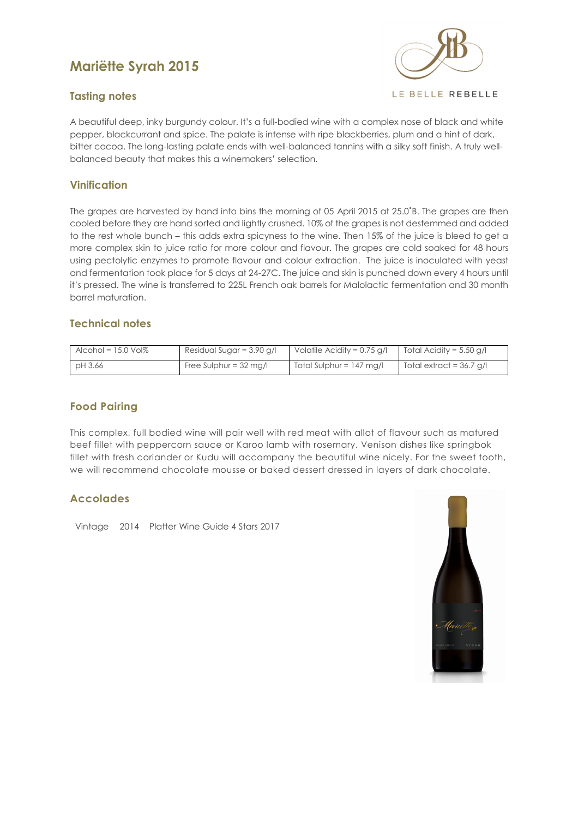# **Mariëtte Syrah 2015**



# **Tasting notes**

A beautiful deep, inky burgundy colour. It's a full-bodied wine with a complex nose of black and white pepper, blackcurrant and spice. The palate is intense with ripe blackberries, plum and a hint of dark, bitter cocoa. The long-lasting palate ends with well-balanced tannins with a silky soft finish. A truly wellbalanced beauty that makes this a winemakers' selection.

# **Vinification**

The grapes are harvested by hand into bins the morning of 05 April 2015 at 25.0˚B. The grapes are then cooled before they are hand sorted and lightly crushed. 10% of the grapes is not destemmed and added to the rest whole bunch – this adds extra spicyness to the wine. Then 15% of the juice is bleed to get a more complex skin to juice ratio for more colour and flavour. The grapes are cold soaked for 48 hours using pectolytic enzymes to promote flavour and colour extraction. The juice is inoculated with yeast and fermentation took place for 5 days at 24-27C. The juice and skin is punched down every 4 hours until it's pressed. The wine is transferred to 225L French oak barrels for Malolactic fermentation and 30 month barrel maturation.

# **Technical notes**

| Alcohol = $15.0$ Vol $\%$ | Residual Sugar = $3.90$ g/l      | Volatile Acidity = $0.75$ g/l | Total Acidity = $5.50$ g/l |
|---------------------------|----------------------------------|-------------------------------|----------------------------|
| pH 3.66                   | Free Sulphur = $32 \text{ ma/l}$ | $Total Sulphur = 147 mg/l$    | Total extract = $36.7$ g/l |

# **Food Pairing**

This complex, full bodied wine will pair well with red meat with allot of flavour such as matured beef fillet with peppercorn sauce or Karoo lamb with rosemary. Venison dishes like springbok fillet with fresh coriander or Kudu will accompany the beautiful wine nicely. For the sweet tooth, we will recommend chocolate mousse or baked dessert dressed in layers of dark chocolate.

# **Accolades**

Vintage 2014 Platter Wine Guide 4 Stars 2017

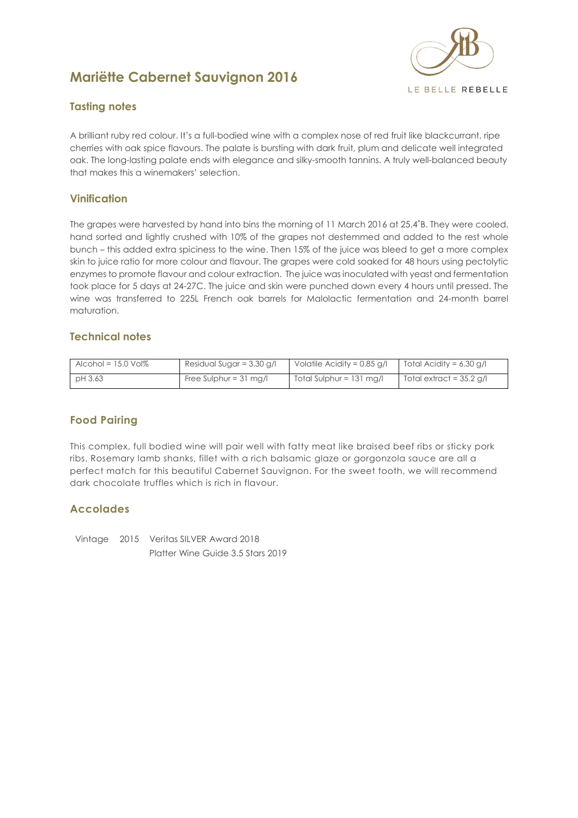# **Mariëtte Cabernet Sauvignon 2016**



# **Tasting notes**

A brilliant ruby red colour. It's a full-bodied wine with a complex nose of red fruit like blackcurrant, ripe cherries with oak spice flavours. The palate is bursting with dark fruit, plum and delicate well integrated oak. The long-lasting palate ends with elegance and silky-smooth tannins. A truly well-balanced beauty that makes this a winemakers' selection.

# **Vinification**

The grapes were harvested by hand into bins the morning of 11 March 2016 at 25.4˚B. They were cooled, hand sorted and lightly crushed with 10% of the grapes not destemmed and added to the rest whole bunch – this added extra spiciness to the wine. Then 15% of the juice was bleed to get a more complex skin to juice ratio for more colour and flavour. The grapes were cold soaked for 48 hours using pectolytic enzymes to promote flavour and colour extraction. The juice was inoculated with yeast and fermentation took place for 5 days at 24-27C. The juice and skin were punched down every 4 hours until pressed. The wine was transferred to 225L French oak barrels for Malolactic fermentation and 24-month barrel maturation.

# **Technical notes**

| Alcohol = $15.0$ Vol $%$ | Residual Sugar = $3.30$ g/l      | Volatile Acidity = $0.85$ g/l      | Total Acidity = 6.30 g/l   |
|--------------------------|----------------------------------|------------------------------------|----------------------------|
| pH 3.63                  | Free Sulphur = $31 \text{ mg/l}$ | Total Sulphur = $131 \text{ mg/l}$ | Total extract = $35.2$ g/l |

# **Food Pairing**

This complex, full bodied wine will pair well with fatty meat like braised beef ribs or sticky pork ribs. Rosemary lamb shanks, fillet with a rich balsamic glaze or gorgonzola sauce are all a perfect match for this beautiful Cabernet Sauvignon. For the sweet tooth, we will recommend dark chocolate truffles which is rich in flavour.

# **Accolades**

Vintage 2015 Veritas SILVER Award 2018 Platter Wine Guide 3.5 Stars 2019